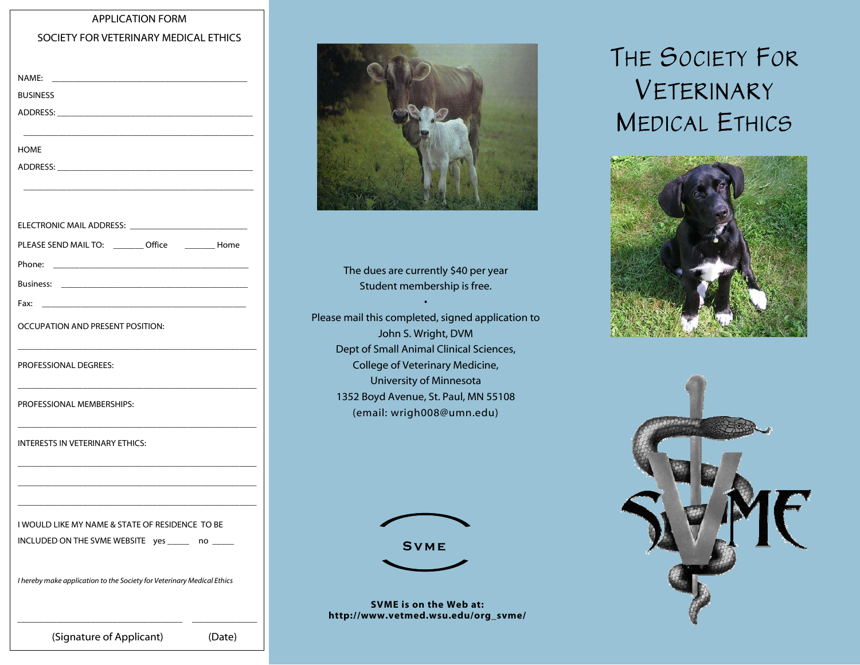### APPLICATION FORM

#### SOCIETY FOR VETERINARY MEDICAL ETHICS

| <b>BUSINESS</b>                                                        |        |
|------------------------------------------------------------------------|--------|
|                                                                        |        |
|                                                                        |        |
| HOME                                                                   |        |
|                                                                        |        |
|                                                                        |        |
| ELECTRONIC MAIL ADDRESS: <b>EXAMPLE ADDRESS</b> :                      |        |
| PLEASE SEND MAIL TO: ________ Office _________ Home                    |        |
|                                                                        |        |
|                                                                        |        |
| Fax:                                                                   |        |
| OCCUPATION AND PRESENT POSITION:                                       |        |
|                                                                        |        |
| PROFESSIONAL DEGREES:                                                  |        |
|                                                                        |        |
| PROFESSIONAL MEMBERSHIPS:                                              |        |
|                                                                        |        |
| INTERESTS IN VETERINARY ETHICS:                                        |        |
|                                                                        |        |
|                                                                        |        |
|                                                                        |        |
| I WOULD LIKE MY NAME & STATE OF RESIDENCE TO BE                        |        |
| INCLUDED ON THE SVME WEBSITE yes _____                                 | no     |
| I hereby make application to the Society for Veterinary Medical Ethics |        |
|                                                                        |        |
|                                                                        |        |
| (Signature of Applicant)                                               | (Date) |



The dues are currently \$40 per year Student membership is free.

•

Please mail this completed, signed application to John S. Wright, DVM Dept of Small Animal Clinical Sciences, College of Veterinary Medicine, University of Minnesota 1352 Boyd Avenue, St. Paul, MN 55108 (email: wrigh008@umn.edu)



# **Svme**

SVME is on the Web at: http://www.vetmed.wsu.edu/org\_svme/

# THE SOCIETY FOR VETERINARY MEDICAL ETHICS